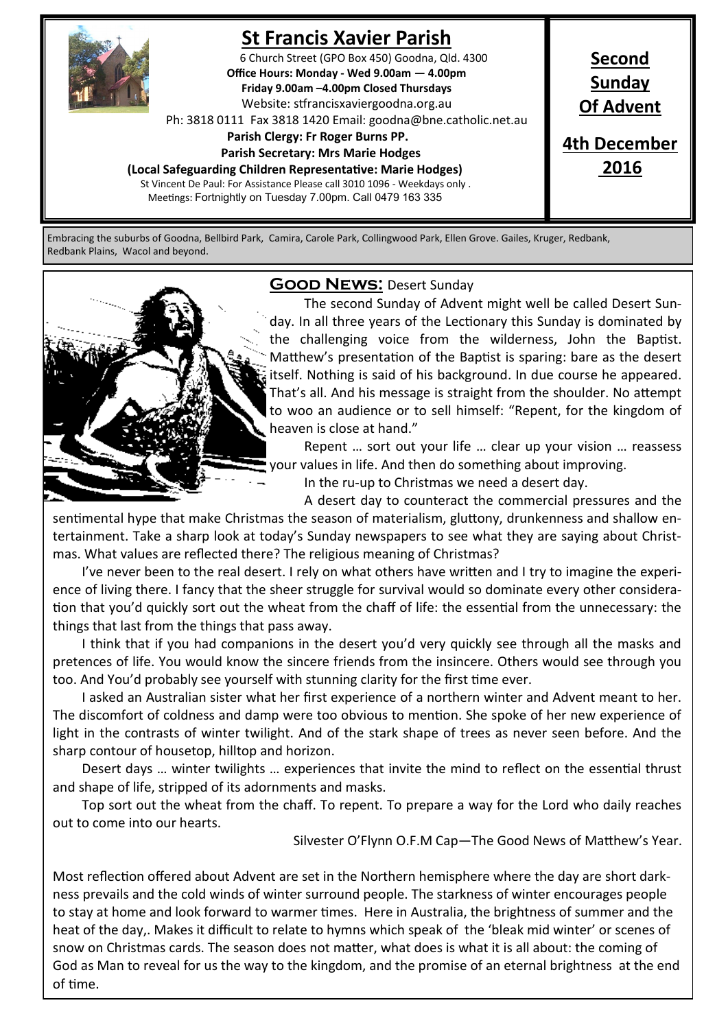

# **St Francis Xavier Parish**

6 Church Street (GPO Box 450) Goodna, Qld. 4300 **Office Hours: Monday - Wed 9.00am — 4.00pm Friday 9.00am –4.00pm Closed Thursdays**  Website: stfrancisxaviergoodna.org.au

Ph: 3818 0111 Fax 3818 1420 Email: goodna@bne.catholic.net.au

 **Parish Clergy: Fr Roger Burns PP.** 

 **Parish Secretary: Mrs Marie Hodges**

**(Local Safeguarding Children Representative: Marie Hodges)**

St Vincent De Paul: For Assistance Please call 3010 1096 - Weekdays only . Meetings: Fortnightly on Tuesday 7.00pm. Call 0479 163 335

**Second Sunday Of Advent 4th December 2016**

Embracing the suburbs of Goodna, Bellbird Park, Camira, Carole Park, Collingwood Park, Ellen Grove. Gailes, Kruger, Redbank, Redbank Plains, Wacol and beyond.



### **Good News:** Desert Sunday

The second Sunday of Advent might well be called Desert Sunday. In all three years of the Lectionary this Sunday is dominated by the challenging voice from the wilderness, John the Baptist. Matthew's presentation of the Baptist is sparing: bare as the desert itself. Nothing is said of his background. In due course he appeared. That's all. And his message is straight from the shoulder. No attempt to woo an audience or to sell himself: "Repent, for the kingdom of heaven is close at hand."

Repent … sort out your life … clear up your vision … reassess your values in life. And then do something about improving.

In the ru-up to Christmas we need a desert day.

A desert day to counteract the commercial pressures and the sentimental hype that make Christmas the season of materialism, gluttony, drunkenness and shallow entertainment. Take a sharp look at today's Sunday newspapers to see what they are saying about Christmas. What values are reflected there? The religious meaning of Christmas?

I've never been to the real desert. I rely on what others have written and I try to imagine the experience of living there. I fancy that the sheer struggle for survival would so dominate every other consideration that you'd quickly sort out the wheat from the chaff of life: the essential from the unnecessary: the things that last from the things that pass away.

I think that if you had companions in the desert you'd very quickly see through all the masks and pretences of life. You would know the sincere friends from the insincere. Others would see through you too. And You'd probably see yourself with stunning clarity for the first time ever.

I asked an Australian sister what her first experience of a northern winter and Advent meant to her. The discomfort of coldness and damp were too obvious to mention. She spoke of her new experience of light in the contrasts of winter twilight. And of the stark shape of trees as never seen before. And the sharp contour of housetop, hilltop and horizon.

Desert days … winter twilights … experiences that invite the mind to reflect on the essential thrust and shape of life, stripped of its adornments and masks.

Top sort out the wheat from the chaff. To repent. To prepare a way for the Lord who daily reaches out to come into our hearts.

Silvester O'Flynn O.F.M Cap—The Good News of Matthew's Year.

Most reflection offered about Advent are set in the Northern hemisphere where the day are short darkness prevails and the cold winds of winter surround people. The starkness of winter encourages people to stay at home and look forward to warmer times. Here in Australia, the brightness of summer and the heat of the day,. Makes it difficult to relate to hymns which speak of the 'bleak mid winter' or scenes of snow on Christmas cards. The season does not matter, what does is what it is all about: the coming of God as Man to reveal for us the way to the kingdom, and the promise of an eternal brightness at the end of time.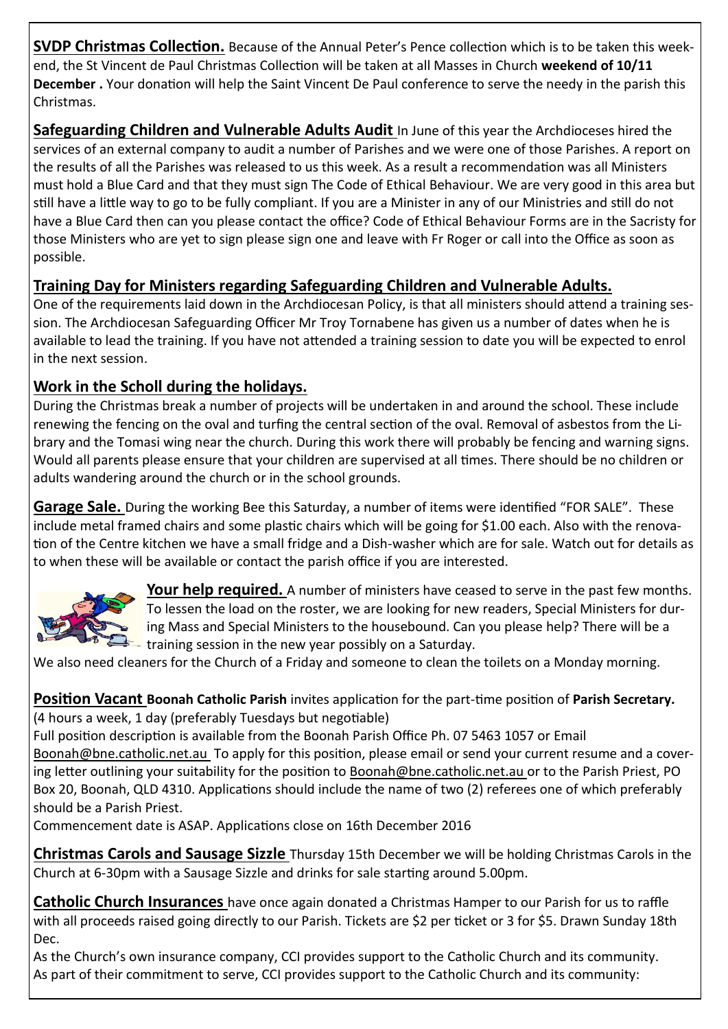**SVDP Christmas Collection.** Because of the Annual Peter's Pence collection which is to be taken this weekend, the St Vincent de Paul Christmas Collection will be taken at all Masses in Church **weekend of 10/11 December .** Your donation will help the Saint Vincent De Paul conference to serve the needy in the parish this Christmas.

**Safeguarding Children and Vulnerable Adults Audit** In June of this year the Archdioceses hired the services of an external company to audit a number of Parishes and we were one of those Parishes. A report on the results of all the Parishes was released to us this week. As a result a recommendation was all Ministers must hold a Blue Card and that they must sign The Code of Ethical Behaviour. We are very good in this area but still have a little way to go to be fully compliant. If you are a Minister in any of our Ministries and still do not have a Blue Card then can you please contact the office? Code of Ethical Behaviour Forms are in the Sacristy for those Ministers who are yet to sign please sign one and leave with Fr Roger or call into the Office as soon as possible.

## **Training Day for Ministers regarding Safeguarding Children and Vulnerable Adults.**

One of the requirements laid down in the Archdiocesan Policy, is that all ministers should attend a training session. The Archdiocesan Safeguarding Officer Mr Troy Tornabene has given us a number of dates when he is available to lead the training. If you have not attended a training session to date you will be expected to enrol in the next session.

## **Work in the Scholl during the holidays.**

During the Christmas break a number of projects will be undertaken in and around the school. These include renewing the fencing on the oval and turfing the central section of the oval. Removal of asbestos from the Library and the Tomasi wing near the church. During this work there will probably be fencing and warning signs. Would all parents please ensure that your children are supervised at all times. There should be no children or adults wandering around the church or in the school grounds.

**Garage Sale.** During the working Bee this Saturday, a number of items were identified "FOR SALE". These include metal framed chairs and some plastic chairs which will be going for \$1.00 each. Also with the renovation of the Centre kitchen we have a small fridge and a Dish-washer which are for sale. Watch out for details as to when these will be available or contact the parish office if you are interested.



**Your help required.** A number of ministers have ceased to serve in the past few months. To lessen the load on the roster, we are looking for new readers, Special Ministers for during Mass and Special Ministers to the housebound. Can you please help? There will be a  $\overline{\phantom{a}}$  training session in the new year possibly on a Saturday.

We also need cleaners for the Church of a Friday and someone to clean the toilets on a Monday morning.

### **Position Vacant Boonah Catholic Parish** invites application for the part-time position of **Parish Secretary.** (4 hours a week, 1 day (preferably Tuesdays but negotiable)

Full position description is available from the Boonah Parish Office Ph. 07 5463 1057 or Email Boonah@bne.catholic.net.au To apply for this position, please email or send your current resume and a covering letter outlining your suitability for the position to Boonah@bne.catholic.net.au or to the Parish Priest, PO Box 20, Boonah, QLD 4310. Applications should include the name of two (2) referees one of which preferably should be a Parish Priest.

Commencement date is ASAP. Applications close on 16th December 2016

**Christmas Carols and Sausage Sizzle** Thursday 15th December we will be holding Christmas Carols in the Church at 6-30pm with a Sausage Sizzle and drinks for sale starting around 5.00pm.

**Catholic Church Insurances** have once again donated a Christmas Hamper to our Parish for us to raffle with all proceeds raised going directly to our Parish. Tickets are \$2 per ticket or 3 for \$5. Drawn Sunday 18th Dec.

As the Church's own insurance company, CCI provides support to the Catholic Church and its community. As part of their commitment to serve, CCI provides support to the Catholic Church and its community: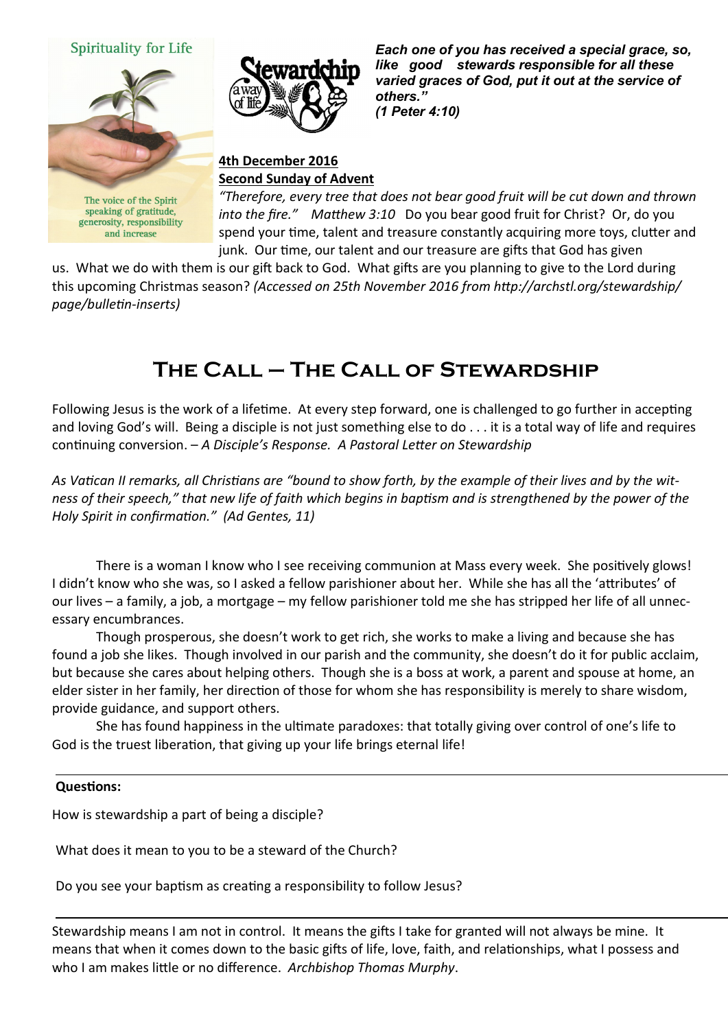





*Each one of you has received a special grace, so, like good stewards responsible for all these varied graces of God, put it out at the service of others." (1 Peter 4:10)* 

#### **4th December 2016 Second Sunday of Advent**

The voice of the Spirit speaking of gratitude, generosity, responsibility and increase

*"Therefore, every tree that does not bear good fruit will be cut down and thrown into the fire." Matthew 3:10* Do you bear good fruit for Christ? Or, do you spend your time, talent and treasure constantly acquiring more toys, clutter and junk. Our time, our talent and our treasure are gifts that God has given

us. What we do with them is our gift back to God. What gifts are you planning to give to the Lord during this upcoming Christmas season? *(Accessed on 25th November 2016 from http://archstl.org/stewardship/ page/bulletin-inserts)*

# **The Call – The Call of Stewardship**

Following Jesus is the work of a lifetime. At every step forward, one is challenged to go further in accepting and loving God's will. Being a disciple is not just something else to do . . . it is a total way of life and requires continuing conversion. – *A Disciple's Response. A Pastoral Letter on Stewardship*

*As Vatican II remarks, all Christians are "bound to show forth, by the example of their lives and by the witness of their speech," that new life of faith which begins in baptism and is strengthened by the power of the Holy Spirit in confirmation." (Ad Gentes, 11)*

There is a woman I know who I see receiving communion at Mass every week. She positively glows! I didn't know who she was, so I asked a fellow parishioner about her. While she has all the 'attributes' of our lives – a family, a job, a mortgage – my fellow parishioner told me she has stripped her life of all unnecessary encumbrances.

Though prosperous, she doesn't work to get rich, she works to make a living and because she has found a job she likes. Though involved in our parish and the community, she doesn't do it for public acclaim, but because she cares about helping others. Though she is a boss at work, a parent and spouse at home, an elder sister in her family, her direction of those for whom she has responsibility is merely to share wisdom, provide guidance, and support others.

She has found happiness in the ultimate paradoxes: that totally giving over control of one's life to God is the truest liberation, that giving up your life brings eternal life!

#### **Questions:**

How is stewardship a part of being a disciple?

What does it mean to you to be a steward of the Church?

Do you see your baptism as creating a responsibility to follow Jesus?

Stewardship means I am not in control. It means the gifts I take for granted will not always be mine. It means that when it comes down to the basic gifts of life, love, faith, and relationships, what I possess and who I am makes little or no difference. *Archbishop Thomas Murphy*.